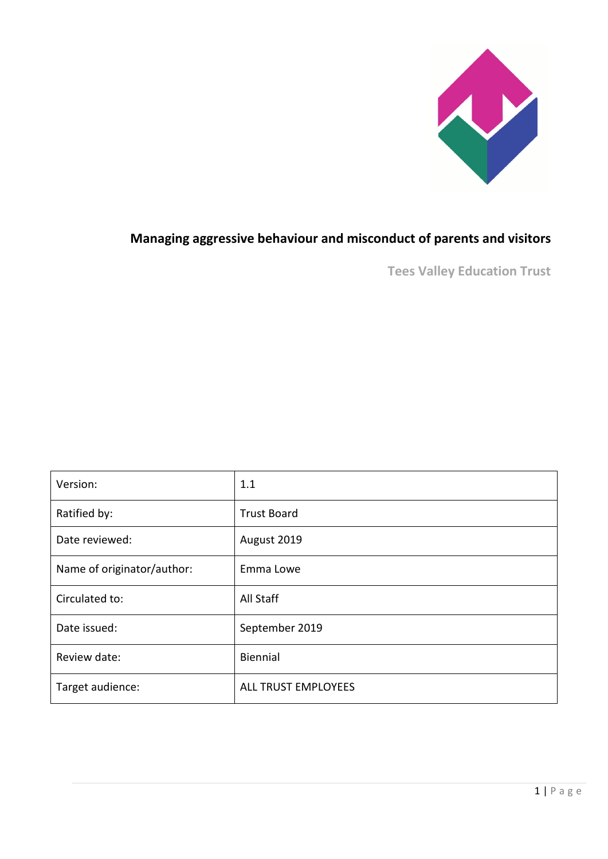

# **Managing aggressive behaviour and misconduct of parents and visitors**

**Tees Valley Education Trust**

| Version:                   | 1.1                 |
|----------------------------|---------------------|
| Ratified by:               | <b>Trust Board</b>  |
| Date reviewed:             | August 2019         |
| Name of originator/author: | Emma Lowe           |
| Circulated to:             | All Staff           |
| Date issued:               | September 2019      |
| Review date:               | Biennial            |
| Target audience:           | ALL TRUST EMPLOYEES |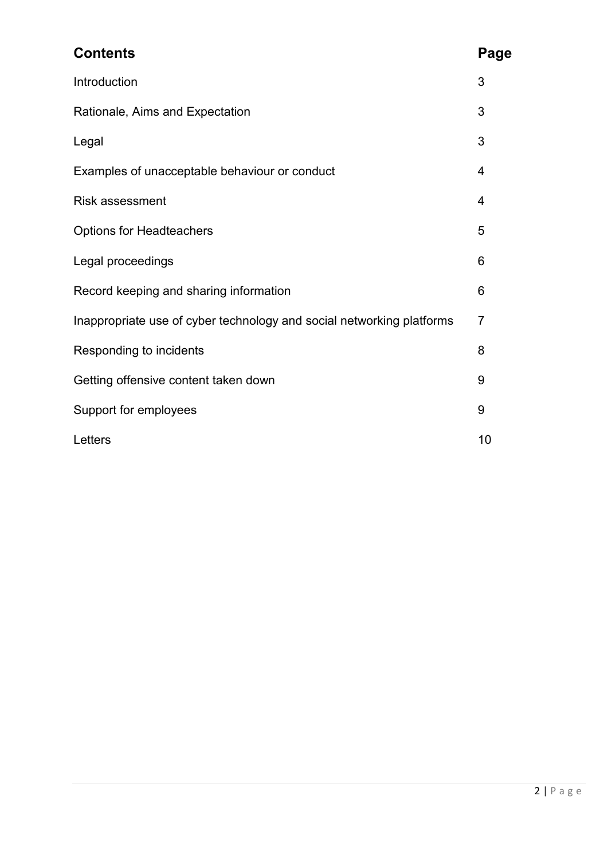| <b>Contents</b>                                                       | Page           |
|-----------------------------------------------------------------------|----------------|
| Introduction                                                          | 3              |
| Rationale, Aims and Expectation                                       | 3              |
| Legal                                                                 | 3              |
| Examples of unacceptable behaviour or conduct                         | 4              |
| <b>Risk assessment</b>                                                | 4              |
| <b>Options for Headteachers</b>                                       | 5              |
| Legal proceedings                                                     | 6              |
| Record keeping and sharing information                                | 6              |
| Inappropriate use of cyber technology and social networking platforms | $\overline{7}$ |
| Responding to incidents                                               | 8              |
| Getting offensive content taken down                                  | 9              |
| Support for employees                                                 | 9              |
| Letters                                                               | 10             |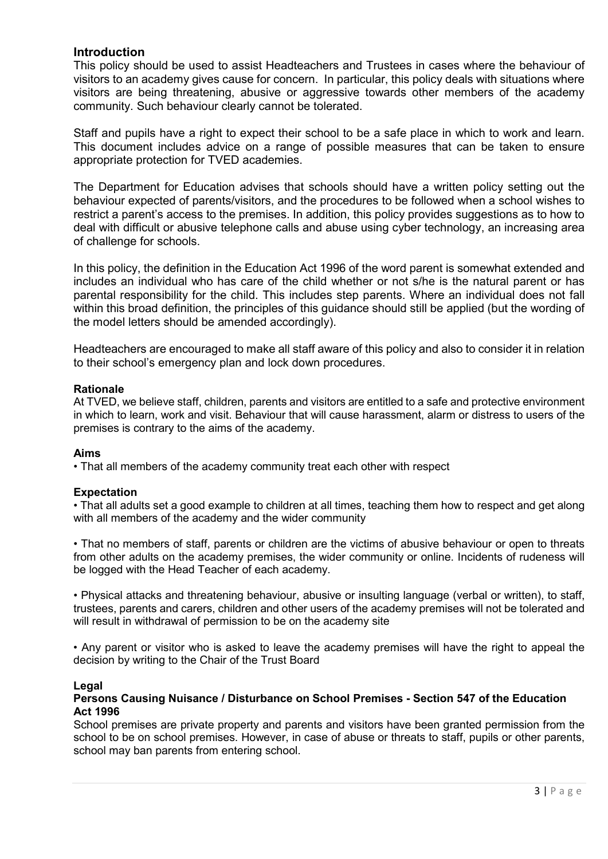### **Introduction**

This policy should be used to assist Headteachers and Trustees in cases where the behaviour of visitors to an academy gives cause for concern. In particular, this policy deals with situations where visitors are being threatening, abusive or aggressive towards other members of the academy community. Such behaviour clearly cannot be tolerated.

Staff and pupils have a right to expect their school to be a safe place in which to work and learn. This document includes advice on a range of possible measures that can be taken to ensure appropriate protection for TVED academies.

The Department for Education advises that schools should have a written policy setting out the behaviour expected of parents/visitors, and the procedures to be followed when a school wishes to restrict a parent's access to the premises. In addition, this policy provides suggestions as to how to deal with difficult or abusive telephone calls and abuse using cyber technology, an increasing area of challenge for schools.

In this policy, the definition in the Education Act 1996 of the word parent is somewhat extended and includes an individual who has care of the child whether or not s/he is the natural parent or has parental responsibility for the child. This includes step parents. Where an individual does not fall within this broad definition, the principles of this guidance should still be applied (but the wording of the model letters should be amended accordingly).

Headteachers are encouraged to make all staff aware of this policy and also to consider it in relation to their school's emergency plan and lock down procedures.

#### **Rationale**

At TVED, we believe staff, children, parents and visitors are entitled to a safe and protective environment in which to learn, work and visit. Behaviour that will cause harassment, alarm or distress to users of the premises is contrary to the aims of the academy.

#### **Aims**

• That all members of the academy community treat each other with respect

#### **Expectation**

• That all adults set a good example to children at all times, teaching them how to respect and get along with all members of the academy and the wider community

• That no members of staff, parents or children are the victims of abusive behaviour or open to threats from other adults on the academy premises, the wider community or online. Incidents of rudeness will be logged with the Head Teacher of each academy.

• Physical attacks and threatening behaviour, abusive or insulting language (verbal or written), to staff, trustees, parents and carers, children and other users of the academy premises will not be tolerated and will result in withdrawal of permission to be on the academy site

• Any parent or visitor who is asked to leave the academy premises will have the right to appeal the decision by writing to the Chair of the Trust Board

#### **Legal**

#### **Persons Causing Nuisance / Disturbance on School Premises - Section 547 of the Education Act 1996**

School premises are private property and parents and visitors have been granted permission from the school to be on school premises. However, in case of abuse or threats to staff, pupils or other parents, school may ban parents from entering school.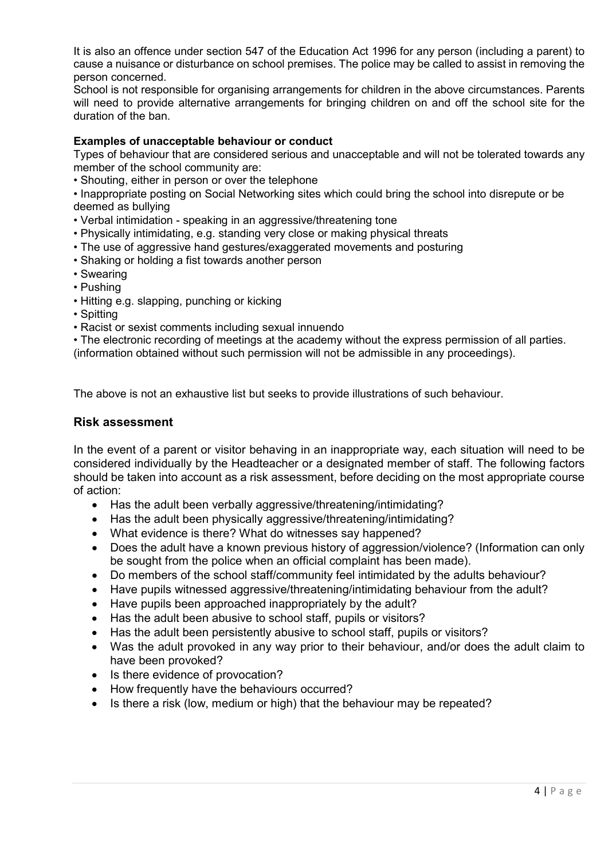It is also an offence under section 547 of the Education Act 1996 for any person (including a parent) to cause a nuisance or disturbance on school premises. The police may be called to assist in removing the person concerned.

School is not responsible for organising arrangements for children in the above circumstances. Parents will need to provide alternative arrangements for bringing children on and off the school site for the duration of the ban.

#### **Examples of unacceptable behaviour or conduct**

Types of behaviour that are considered serious and unacceptable and will not be tolerated towards any member of the school community are:

• Shouting, either in person or over the telephone

• Inappropriate posting on Social Networking sites which could bring the school into disrepute or be deemed as bullying

- Verbal intimidation speaking in an aggressive/threatening tone
- Physically intimidating, e.g. standing very close or making physical threats
- The use of aggressive hand gestures/exaggerated movements and posturing
- Shaking or holding a fist towards another person
- Swearing
- Pushing
- Hitting e.g. slapping, punching or kicking
- Spitting
- Racist or sexist comments including sexual innuendo

• The electronic recording of meetings at the academy without the express permission of all parties.

(information obtained without such permission will not be admissible in any proceedings).

The above is not an exhaustive list but seeks to provide illustrations of such behaviour.

#### **Risk assessment**

In the event of a parent or visitor behaving in an inappropriate way, each situation will need to be considered individually by the Headteacher or a designated member of staff. The following factors should be taken into account as a risk assessment, before deciding on the most appropriate course of action:

- Has the adult been verbally aggressive/threatening/intimidating?
- Has the adult been physically aggressive/threatening/intimidating?
- What evidence is there? What do witnesses say happened?
- Does the adult have a known previous history of aggression/violence? (Information can only be sought from the police when an official complaint has been made).
- Do members of the school staff/community feel intimidated by the adults behaviour?
- Have pupils witnessed aggressive/threatening/intimidating behaviour from the adult?
- Have pupils been approached inappropriately by the adult?
- Has the adult been abusive to school staff, pupils or visitors?
- Has the adult been persistently abusive to school staff, pupils or visitors?
- Was the adult provoked in any way prior to their behaviour, and/or does the adult claim to have been provoked?
- Is there evidence of provocation?
- How frequently have the behaviours occurred?
- Is there a risk (low, medium or high) that the behaviour may be repeated?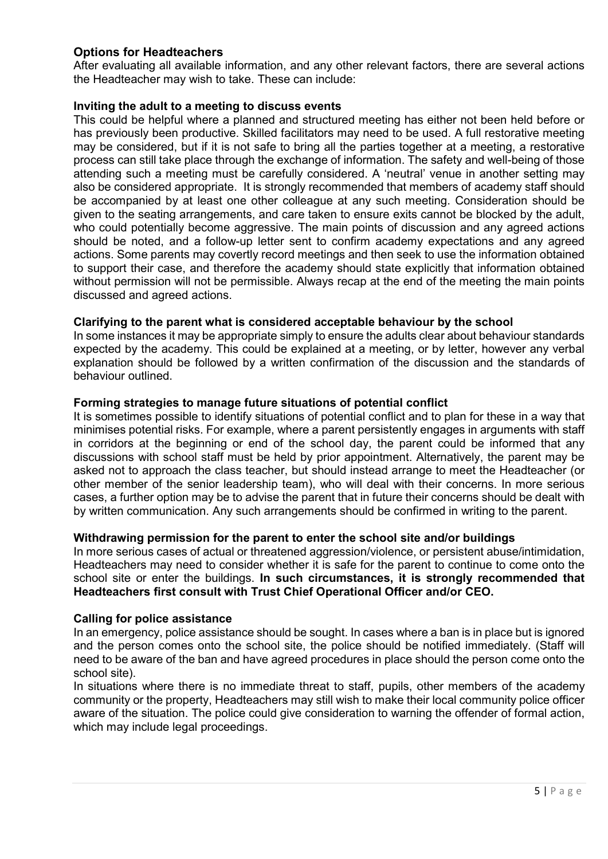## **Options for Headteachers**

After evaluating all available information, and any other relevant factors, there are several actions the Headteacher may wish to take. These can include:

#### **Inviting the adult to a meeting to discuss events**

This could be helpful where a planned and structured meeting has either not been held before or has previously been productive. Skilled facilitators may need to be used. A full restorative meeting may be considered, but if it is not safe to bring all the parties together at a meeting, a restorative process can still take place through the exchange of information. The safety and well-being of those attending such a meeting must be carefully considered. A 'neutral' venue in another setting may also be considered appropriate. It is strongly recommended that members of academy staff should be accompanied by at least one other colleague at any such meeting. Consideration should be given to the seating arrangements, and care taken to ensure exits cannot be blocked by the adult, who could potentially become aggressive. The main points of discussion and any agreed actions should be noted, and a follow-up letter sent to confirm academy expectations and any agreed actions. Some parents may covertly record meetings and then seek to use the information obtained to support their case, and therefore the academy should state explicitly that information obtained without permission will not be permissible. Always recap at the end of the meeting the main points discussed and agreed actions.

#### **Clarifying to the parent what is considered acceptable behaviour by the school**

In some instances it may be appropriate simply to ensure the adults clear about behaviour standards expected by the academy. This could be explained at a meeting, or by letter, however any verbal explanation should be followed by a written confirmation of the discussion and the standards of behaviour outlined.

#### **Forming strategies to manage future situations of potential conflict**

It is sometimes possible to identify situations of potential conflict and to plan for these in a way that minimises potential risks. For example, where a parent persistently engages in arguments with staff in corridors at the beginning or end of the school day, the parent could be informed that any discussions with school staff must be held by prior appointment. Alternatively, the parent may be asked not to approach the class teacher, but should instead arrange to meet the Headteacher (or other member of the senior leadership team), who will deal with their concerns. In more serious cases, a further option may be to advise the parent that in future their concerns should be dealt with by written communication. Any such arrangements should be confirmed in writing to the parent.

#### **Withdrawing permission for the parent to enter the school site and/or buildings**

In more serious cases of actual or threatened aggression/violence, or persistent abuse/intimidation, Headteachers may need to consider whether it is safe for the parent to continue to come onto the school site or enter the buildings. **In such circumstances, it is strongly recommended that Headteachers first consult with Trust Chief Operational Officer and/or CEO.** 

#### **Calling for police assistance**

In an emergency, police assistance should be sought. In cases where a ban is in place but is ignored and the person comes onto the school site, the police should be notified immediately. (Staff will need to be aware of the ban and have agreed procedures in place should the person come onto the school site).

In situations where there is no immediate threat to staff, pupils, other members of the academy community or the property, Headteachers may still wish to make their local community police officer aware of the situation. The police could give consideration to warning the offender of formal action, which may include legal proceedings.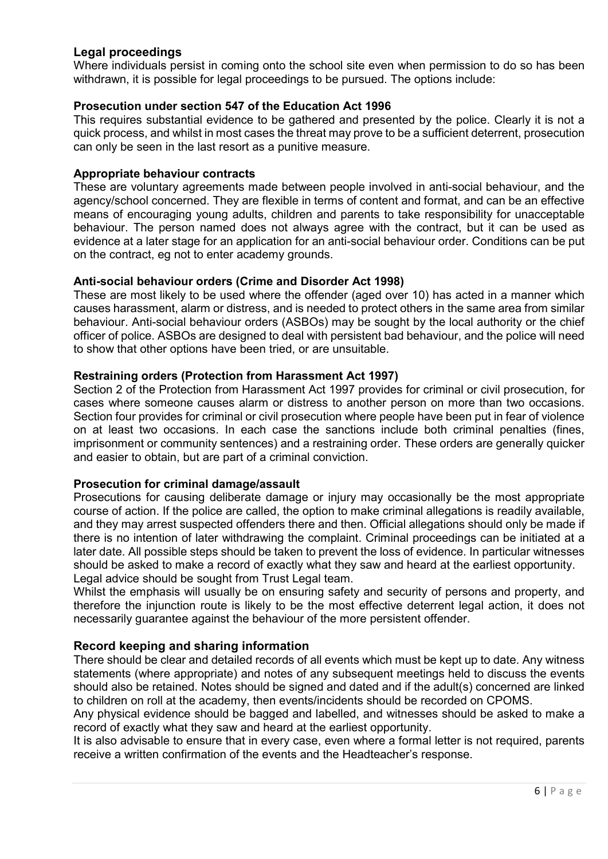## **Legal proceedings**

Where individuals persist in coming onto the school site even when permission to do so has been withdrawn, it is possible for legal proceedings to be pursued. The options include:

#### **Prosecution under section 547 of the Education Act 1996**

This requires substantial evidence to be gathered and presented by the police. Clearly it is not a quick process, and whilst in most cases the threat may prove to be a sufficient deterrent, prosecution can only be seen in the last resort as a punitive measure.

#### **Appropriate behaviour contracts**

These are voluntary agreements made between people involved in anti-social behaviour, and the agency/school concerned. They are flexible in terms of content and format, and can be an effective means of encouraging young adults, children and parents to take responsibility for unacceptable behaviour. The person named does not always agree with the contract, but it can be used as evidence at a later stage for an application for an anti-social behaviour order. Conditions can be put on the contract, eg not to enter academy grounds.

#### **Anti-social behaviour orders (Crime and Disorder Act 1998)**

These are most likely to be used where the offender (aged over 10) has acted in a manner which causes harassment, alarm or distress, and is needed to protect others in the same area from similar behaviour. Anti-social behaviour orders (ASBOs) may be sought by the local authority or the chief officer of police. ASBOs are designed to deal with persistent bad behaviour, and the police will need to show that other options have been tried, or are unsuitable.

#### **Restraining orders (Protection from Harassment Act 1997)**

Section 2 of the Protection from Harassment Act 1997 provides for criminal or civil prosecution, for cases where someone causes alarm or distress to another person on more than two occasions. Section four provides for criminal or civil prosecution where people have been put in fear of violence on at least two occasions. In each case the sanctions include both criminal penalties (fines, imprisonment or community sentences) and a restraining order. These orders are generally quicker and easier to obtain, but are part of a criminal conviction.

### **Prosecution for criminal damage/assault**

Prosecutions for causing deliberate damage or injury may occasionally be the most appropriate course of action. If the police are called, the option to make criminal allegations is readily available, and they may arrest suspected offenders there and then. Official allegations should only be made if there is no intention of later withdrawing the complaint. Criminal proceedings can be initiated at a later date. All possible steps should be taken to prevent the loss of evidence. In particular witnesses should be asked to make a record of exactly what they saw and heard at the earliest opportunity. Legal advice should be sought from Trust Legal team.

Whilst the emphasis will usually be on ensuring safety and security of persons and property, and therefore the injunction route is likely to be the most effective deterrent legal action, it does not necessarily guarantee against the behaviour of the more persistent offender.

### **Record keeping and sharing information**

There should be clear and detailed records of all events which must be kept up to date. Any witness statements (where appropriate) and notes of any subsequent meetings held to discuss the events should also be retained. Notes should be signed and dated and if the adult(s) concerned are linked to children on roll at the academy, then events/incidents should be recorded on CPOMS.

Any physical evidence should be bagged and labelled, and witnesses should be asked to make a record of exactly what they saw and heard at the earliest opportunity.

It is also advisable to ensure that in every case, even where a formal letter is not required, parents receive a written confirmation of the events and the Headteacher's response.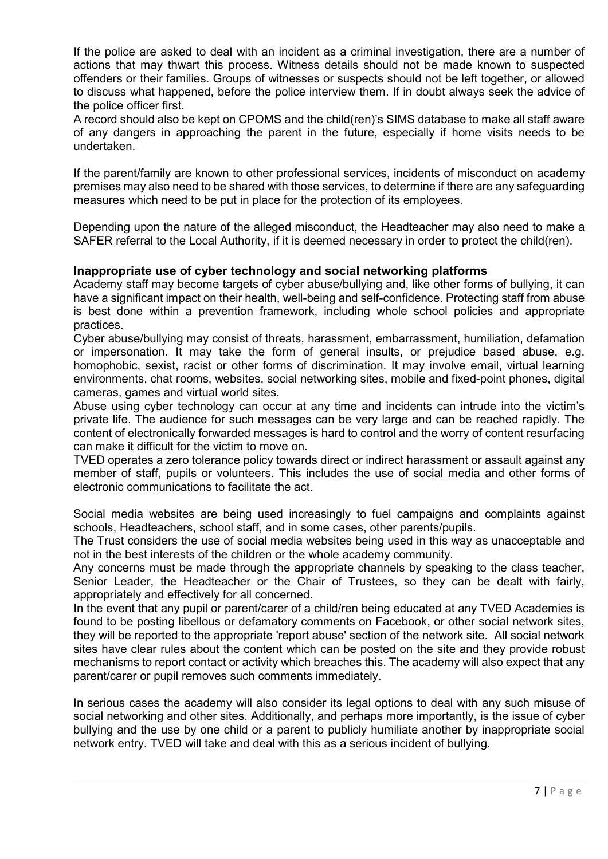If the police are asked to deal with an incident as a criminal investigation, there are a number of actions that may thwart this process. Witness details should not be made known to suspected offenders or their families. Groups of witnesses or suspects should not be left together, or allowed to discuss what happened, before the police interview them. If in doubt always seek the advice of the police officer first.

A record should also be kept on CPOMS and the child(ren)'s SIMS database to make all staff aware of any dangers in approaching the parent in the future, especially if home visits needs to be undertaken.

If the parent/family are known to other professional services, incidents of misconduct on academy premises may also need to be shared with those services, to determine if there are any safeguarding measures which need to be put in place for the protection of its employees.

Depending upon the nature of the alleged misconduct, the Headteacher may also need to make a SAFER referral to the Local Authority, if it is deemed necessary in order to protect the child(ren).

#### **Inappropriate use of cyber technology and social networking platforms**

Academy staff may become targets of cyber abuse/bullying and, like other forms of bullying, it can have a significant impact on their health, well-being and self-confidence. Protecting staff from abuse is best done within a prevention framework, including whole school policies and appropriate practices.

Cyber abuse/bullying may consist of threats, harassment, embarrassment, humiliation, defamation or impersonation. It may take the form of general insults, or prejudice based abuse, e.g. homophobic, sexist, racist or other forms of discrimination. It may involve email, virtual learning environments, chat rooms, websites, social networking sites, mobile and fixed-point phones, digital cameras, games and virtual world sites.

Abuse using cyber technology can occur at any time and incidents can intrude into the victim's private life. The audience for such messages can be very large and can be reached rapidly. The content of electronically forwarded messages is hard to control and the worry of content resurfacing can make it difficult for the victim to move on.

TVED operates a zero tolerance policy towards direct or indirect harassment or assault against any member of staff, pupils or volunteers. This includes the use of social media and other forms of electronic communications to facilitate the act.

Social media websites are being used increasingly to fuel campaigns and complaints against schools, Headteachers, school staff, and in some cases, other parents/pupils.

The Trust considers the use of social media websites being used in this way as unacceptable and not in the best interests of the children or the whole academy community.

Any concerns must be made through the appropriate channels by speaking to the class teacher, Senior Leader, the Headteacher or the Chair of Trustees, so they can be dealt with fairly, appropriately and effectively for all concerned.

In the event that any pupil or parent/carer of a child/ren being educated at any TVED Academies is found to be posting libellous or defamatory comments on Facebook, or other social network sites, they will be reported to the appropriate 'report abuse' section of the network site. All social network sites have clear rules about the content which can be posted on the site and they provide robust mechanisms to report contact or activity which breaches this. The academy will also expect that any parent/carer or pupil removes such comments immediately.

In serious cases the academy will also consider its legal options to deal with any such misuse of social networking and other sites. Additionally, and perhaps more importantly, is the issue of cyber bullying and the use by one child or a parent to publicly humiliate another by inappropriate social network entry. TVED will take and deal with this as a serious incident of bullying.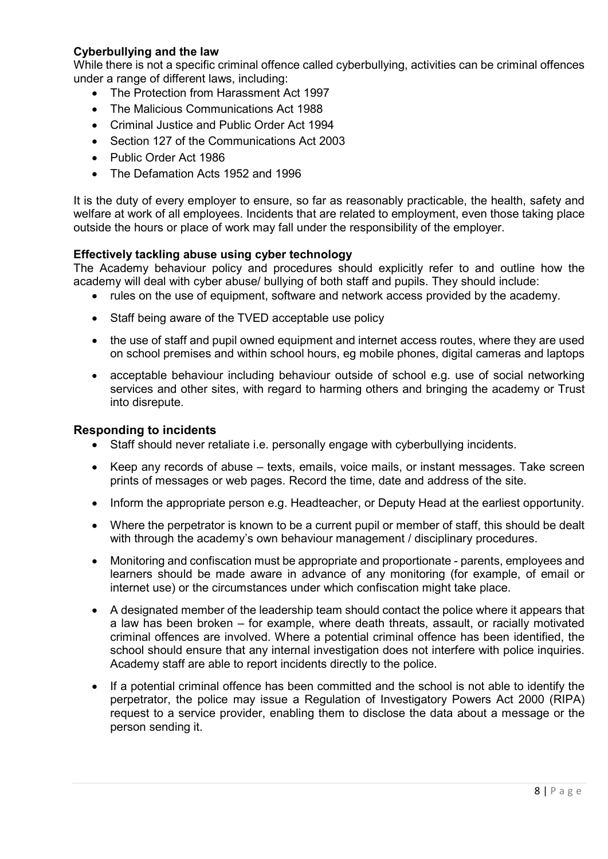## **Cyberbullying and the law**

While there is not a specific criminal offence called cyberbullying, activities can be criminal offences under a range of different laws, including:

- The Protection from Harassment Act 1997
- The Malicious Communications Act 1988
- Criminal Justice and Public Order Act 1994
- Section 127 of the Communications Act 2003
- Public Order Act 1986
- The Defamation Acts 1952 and 1996

It is the duty of every employer to ensure, so far as reasonably practicable, the health, safety and welfare at work of all employees. Incidents that are related to employment, even those taking place outside the hours or place of work may fall under the responsibility of the employer.

### **Effectively tackling abuse using cyber technology**

The Academy behaviour policy and procedures should explicitly refer to and outline how the academy will deal with cyber abuse/ bullying of both staff and pupils. They should include:

- rules on the use of equipment, software and network access provided by the academy.
- Staff being aware of the TVED acceptable use policy
- the use of staff and pupil owned equipment and internet access routes, where they are used on school premises and within school hours, eg mobile phones, digital cameras and laptops
- acceptable behaviour including behaviour outside of school e.g. use of social networking services and other sites, with regard to harming others and bringing the academy or Trust into disrepute.

#### **Responding to incidents**

- Staff should never retaliate i.e. personally engage with cyberbullying incidents.
- Keep any records of abuse texts, emails, voice mails, or instant messages. Take screen prints of messages or web pages. Record the time, date and address of the site.
- Inform the appropriate person e.g. Headteacher, or Deputy Head at the earliest opportunity.
- Where the perpetrator is known to be a current pupil or member of staff, this should be dealt with through the academy's own behaviour management / disciplinary procedures.
- Monitoring and confiscation must be appropriate and proportionate parents, employees and learners should be made aware in advance of any monitoring (for example, of email or internet use) or the circumstances under which confiscation might take place.
- A designated member of the leadership team should contact the police where it appears that a law has been broken – for example, where death threats, assault, or racially motivated criminal offences are involved. Where a potential criminal offence has been identified, the school should ensure that any internal investigation does not interfere with police inquiries. Academy staff are able to report incidents directly to the police.
- If a potential criminal offence has been committed and the school is not able to identify the perpetrator, the police may issue a Regulation of Investigatory Powers Act 2000 (RIPA) request to a service provider, enabling them to disclose the data about a message or the person sending it.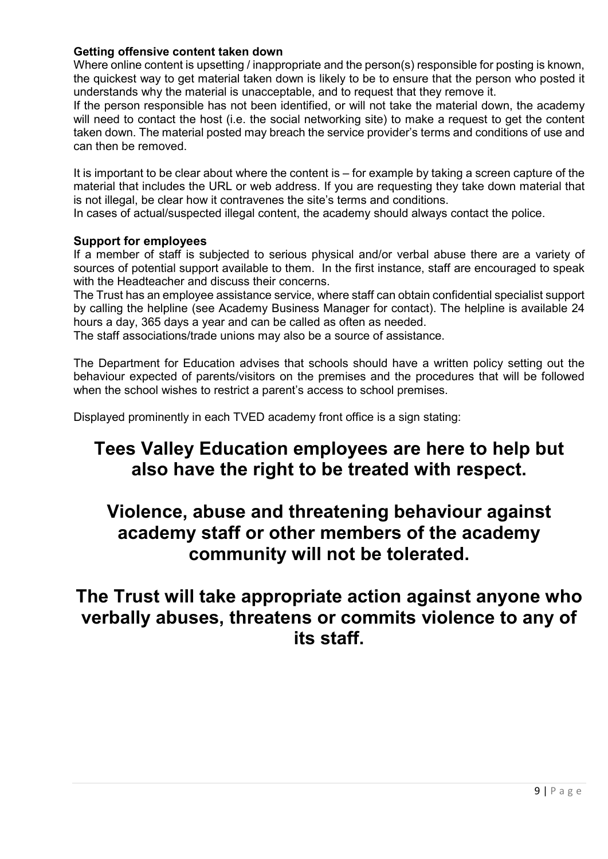## **Getting offensive content taken down**

Where online content is upsetting / inappropriate and the person(s) responsible for posting is known, the quickest way to get material taken down is likely to be to ensure that the person who posted it understands why the material is unacceptable, and to request that they remove it.

If the person responsible has not been identified, or will not take the material down, the academy will need to contact the host (i.e. the social networking site) to make a request to get the content taken down. The material posted may breach the service provider's terms and conditions of use and can then be removed.

It is important to be clear about where the content is – for example by taking a screen capture of the material that includes the URL or web address. If you are requesting they take down material that is not illegal, be clear how it contravenes the site's terms and conditions.

In cases of actual/suspected illegal content, the academy should always contact the police.

### **Support for employees**

If a member of staff is subjected to serious physical and/or verbal abuse there are a variety of sources of potential support available to them. In the first instance, staff are encouraged to speak with the Headteacher and discuss their concerns.

The Trust has an employee assistance service, where staff can obtain confidential specialist support by calling the helpline (see Academy Business Manager for contact). The helpline is available 24 hours a day, 365 days a year and can be called as often as needed.

The staff associations/trade unions may also be a source of assistance.

The Department for Education advises that schools should have a written policy setting out the behaviour expected of parents/visitors on the premises and the procedures that will be followed when the school wishes to restrict a parent's access to school premises.

Displayed prominently in each TVED academy front office is a sign stating:

# **Tees Valley Education employees are here to help but also have the right to be treated with respect.**

# **Violence, abuse and threatening behaviour against academy staff or other members of the academy community will not be tolerated.**

**The Trust will take appropriate action against anyone who verbally abuses, threatens or commits violence to any of its staff.**